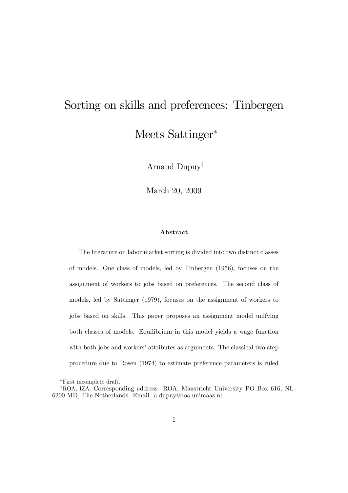# Sorting on skills and preferences: Tinbergen Meets Sattinger

Arnaud Dupuy<sup>†</sup>

March 20, 2009

#### Abstract

The literature on labor market sorting is divided into two distinct classes of models. One class of models, led by Tinbergen (1956), focuses on the assignment of workers to jobs based on preferences. The second class of models, led by Sattinger (1979), focuses on the assignment of workers to jobs based on skills. This paper proposes an assignment model unifying both classes of models. Equilibrium in this model yields a wage function with both jobs and workers' attributes as arguments. The classical two-step procedure due to Rosen (1974) to estimate preference parameters is ruled

First incomplete draft.

<sup>&</sup>lt;sup>†</sup>ROA, IZA. Corresponding address: ROA, Maastricht University PO Box 616, NL-6200 MD, The Netherlands. Email: a.dupuy@roa.unimaas.nl.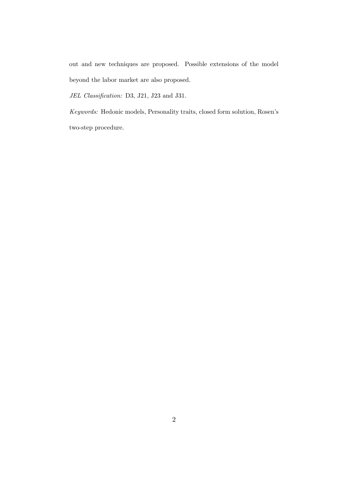out and new techniques are proposed. Possible extensions of the model beyond the labor market are also proposed.

JEL Classification: D3, J21, J23 and J31.

Keywords: Hedonic models, Personality traits, closed form solution, Rosen's two-step procedure.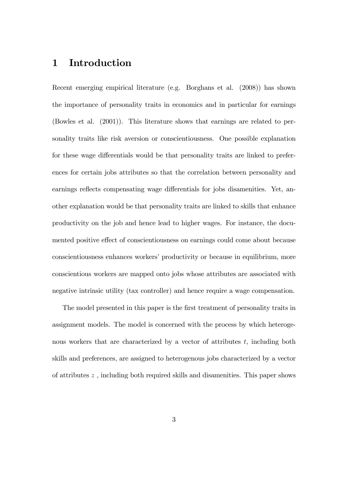# 1 Introduction

Recent emerging empirical literature (e.g. Borghans et al. (2008)) has shown the importance of personality traits in economics and in particular for earnings (Bowles et al. (2001)). This literature shows that earnings are related to personality traits like risk aversion or conscientiousness. One possible explanation for these wage differentials would be that personality traits are linked to preferences for certain jobs attributes so that the correlation between personality and earnings reflects compensating wage differentials for jobs disamenities. Yet, another explanation would be that personality traits are linked to skills that enhance productivity on the job and hence lead to higher wages. For instance, the documented positive effect of conscientiousness on earnings could come about because conscientiousness enhances workers' productivity or because in equilibrium, more conscientious workers are mapped onto jobs whose attributes are associated with negative intrinsic utility (tax controller) and hence require a wage compensation.

The model presented in this paper is the first treatment of personality traits in assignment models. The model is concerned with the process by which heterogenous workers that are characterized by a vector of attributes  $t$ , including both skills and preferences, are assigned to heterogenous jobs characterized by a vector of attributes z , including both required skills and disamenities. This paper shows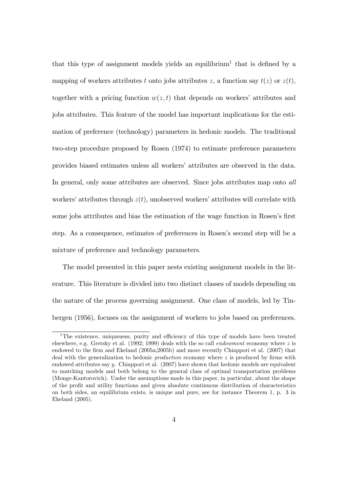that this type of assignment models yields an equilibrium<sup>1</sup> that is defined by a mapping of workers attributes t onto jobs attributes z, a function say  $t(z)$  or  $z(t)$ , together with a pricing function  $w(z, t)$  that depends on workers' attributes and jobs attributes. This feature of the model has important implications for the estimation of preference (technology) parameters in hedonic models. The traditional two-step procedure proposed by Rosen (1974) to estimate preference parameters provides biased estimates unless all workersíattributes are observed in the data. In general, only some attributes are observed. Since jobs attributes map onto all workers' attributes through  $z(t)$ , unobserved workers' attributes will correlate with some jobs attributes and bias the estimation of the wage function in Rosen's first step. As a consequence, estimates of preferences in Rosenís second step will be a mixture of preference and technology parameters.

The model presented in this paper nests existing assignment models in the literature. This literature is divided into two distinct classes of models depending on the nature of the process governing assignment. One class of models, led by Tinbergen (1956), focuses on the assignment of workers to jobs based on preferences.

 $1$ The existence, uniqueness, purity and efficiency of this type of models have been treated elsewhere, e.g. Gretsky et al. (1992; 1999) deals with the so call *endowment* economy where z is endowed to the firm and Ekeland (2005a; 2005b) and more recently Chiappori et al. (2007) that deal with the generalization to hedonic *production* economy where  $z$  is produced by firms with endowed attributes say  $y$ . Chiappori et al.  $(2007)$  have shown that hedonic models are equivalent to matching models and both belong to the general class of optimal transportation problems (Monge-Kantorovich). Under the assumptions made in this paper, in particular, about the shape of the profit and utility functions and given absolute continuous distribution of characteristics on both sides, an equilibrium exists, is unique and pure, see for instance Theorem 1, p. 3 in Ekeland (2005).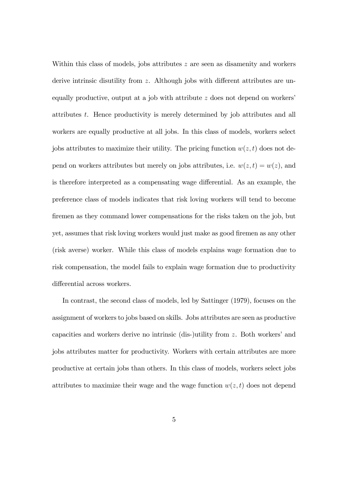Within this class of models, jobs attributes z are seen as disamenity and workers derive intrinsic disutility from  $z$ . Although jobs with different attributes are unequally productive, output at a job with attribute  $z$  does not depend on workers<sup>?</sup> attributes t. Hence productivity is merely determined by job attributes and all workers are equally productive at all jobs. In this class of models, workers select jobs attributes to maximize their utility. The pricing function  $w(z, t)$  does not depend on workers attributes but merely on jobs attributes, i.e.  $w(z, t) = w(z)$ , and is therefore interpreted as a compensating wage differential. As an example, the preference class of models indicates that risk loving workers will tend to become firemen as they command lower compensations for the risks taken on the job, but yet, assumes that risk loving workers would just make as good firemen as any other (risk averse) worker. While this class of models explains wage formation due to risk compensation, the model fails to explain wage formation due to productivity differential across workers.

In contrast, the second class of models, led by Sattinger (1979), focuses on the assignment of workers to jobs based on skills. Jobs attributes are seen as productive capacities and workers derive no intrinsic (dis-)utility from  $z$ . Both workers' and jobs attributes matter for productivity. Workers with certain attributes are more productive at certain jobs than others. In this class of models, workers select jobs attributes to maximize their wage and the wage function  $w(z, t)$  does not depend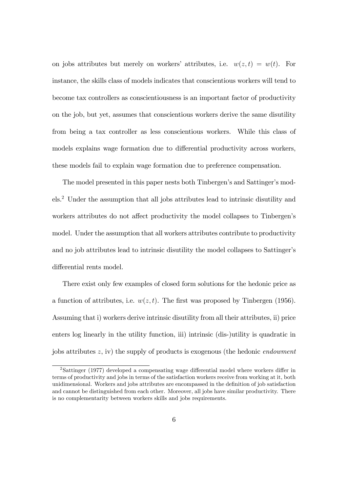on jobs attributes but merely on workers' attributes, i.e.  $w(z, t) = w(t)$ . For instance, the skills class of models indicates that conscientious workers will tend to become tax controllers as conscientiousness is an important factor of productivity on the job, but yet, assumes that conscientious workers derive the same disutility from being a tax controller as less conscientious workers. While this class of models explains wage formation due to differential productivity across workers, these models fail to explain wage formation due to preference compensation.

The model presented in this paper nests both Tinbergen's and Sattinger's models.<sup>2</sup> Under the assumption that all jobs attributes lead to intrinsic disutility and workers attributes do not affect productivity the model collapses to Tinbergen's model. Under the assumption that all workers attributes contribute to productivity and no job attributes lead to intrinsic disutility the model collapses to Sattinger's differential rents model.

There exist only few examples of closed form solutions for the hedonic price as a function of attributes, i.e.  $w(z, t)$ . The first was proposed by Tinbergen (1956). Assuming that i) workers derive intrinsic disutility from all their attributes, ii) price enters log linearly in the utility function, iii) intrinsic (dis-)utility is quadratic in jobs attributes  $z$ , iv) the supply of products is exogenous (the hedonic *endowment* 

 $2$ Sattinger (1977) developed a compensating wage differential model where workers differ in terms of productivity and jobs in terms of the satisfaction workers receive from working at it, both unidimensional. Workers and jobs attributes are encompassed in the definition of job satisfaction and cannot be distinguished from each other. Moreover, all jobs have similar productivity. There is no complementarity between workers skills and jobs requirements.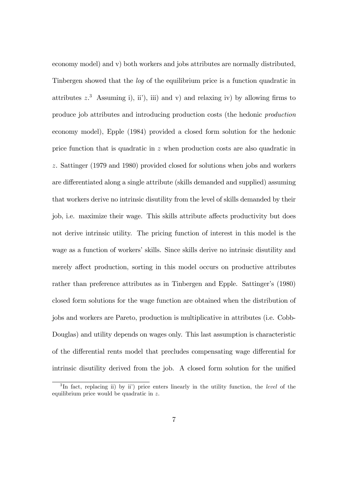economy model) and v) both workers and jobs attributes are normally distributed, Tinbergen showed that the log of the equilibrium price is a function quadratic in attributes  $z^3$  Assuming i), iii), iii) and v) and relaxing iv) by allowing firms to produce job attributes and introducing production costs (the hedonic production economy model), Epple (1984) provided a closed form solution for the hedonic price function that is quadratic in z when production costs are also quadratic in z. Sattinger (1979 and 1980) provided closed for solutions when jobs and workers are differentiated along a single attribute (skills demanded and supplied) assuming that workers derive no intrinsic disutility from the level of skills demanded by their job, i.e. maximize their wage. This skills attribute affects productivity but does not derive intrinsic utility. The pricing function of interest in this model is the wage as a function of workers' skills. Since skills derive no intrinsic disutility and merely affect production, sorting in this model occurs on productive attributes rather than preference attributes as in Tinbergen and Epple. Sattinger's (1980) closed form solutions for the wage function are obtained when the distribution of jobs and workers are Pareto, production is multiplicative in attributes (i.e. Cobb-Douglas) and utility depends on wages only. This last assumption is characteristic of the differential rents model that precludes compensating wage differential for intrinsic disutility derived from the job. A closed form solution for the unified

<sup>&</sup>lt;sup>3</sup>In fact, replacing ii) by ii') price enters linearly in the utility function, the level of the equilibrium price would be quadratic in z.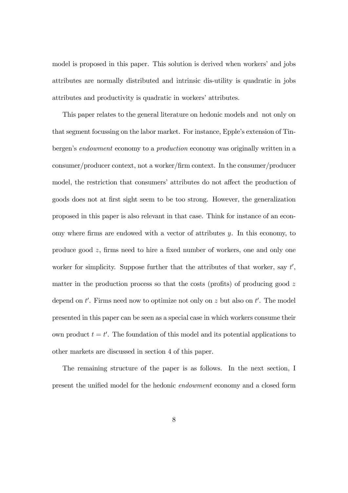model is proposed in this paper. This solution is derived when workers' and jobs attributes are normally distributed and intrinsic dis-utility is quadratic in jobs attributes and productivity is quadratic in workers' attributes.

This paper relates to the general literature on hedonic models and not only on that segment focussing on the labor market. For instance, Epple's extension of Tinbergen's endowment economy to a production economy was originally written in a consumer/producer context, not a worker/Örm context. In the consumer/producer model, the restriction that consumers' attributes do not affect the production of goods does not at Örst sight seem to be too strong. However, the generalization proposed in this paper is also relevant in that case. Think for instance of an economy where firms are endowed with a vector of attributes  $y$ . In this economy, to produce good  $z$ , firms need to hire a fixed number of workers, one and only one worker for simplicity. Suppose further that the attributes of that worker, say  $t'$ , matter in the production process so that the costs (profits) of producing good  $z$ depend on  $t'$ . Firms need now to optimize not only on z but also on  $t'$ . The model presented in this paper can be seen as a special case in which workers consume their own product  $t = t'$ . The foundation of this model and its potential applications to other markets are discussed in section 4 of this paper.

The remaining structure of the paper is as follows. In the next section, I present the unified model for the hedonic *endowment* economy and a closed form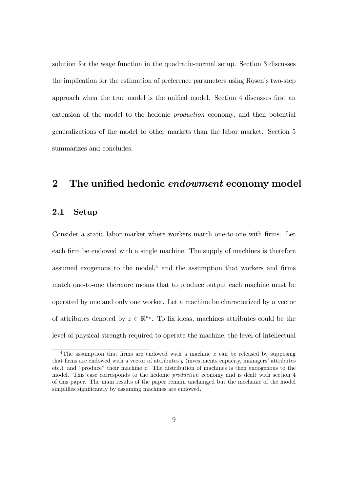solution for the wage function in the quadratic-normal setup. Section 3 discusses the implication for the estimation of preference parameters using Rosen's two-step approach when the true model is the unified model. Section 4 discusses first an extension of the model to the hedonic production economy, and then potential generalizations of the model to other markets than the labor market. Section 5 summarizes and concludes.

### 2 The unified hedonic endowment economy model

#### 2.1 Setup

Consider a static labor market where workers match one-to-one with firms. Let each firm be endowed with a single machine. The supply of machines is therefore assumed exogenous to the model, $4$  and the assumption that workers and firms match one-to-one therefore means that to produce output each machine must be operated by one and only one worker. Let a machine be characterized by a vector of attributes denoted by  $z \in \mathbb{R}^{n_z}$ . To fix ideas, machines attributes could be the level of physical strength required to operate the machine, the level of intellectual

<sup>&</sup>lt;sup>4</sup>The assumption that firms are endowed with a machine  $z$  can be released by supposing that firms are endowed with a vector of attributes  $y$  (investments capacity, managers' attributes etc.) and "produce" their machine z. The distribution of machines is then endogenous to the model. This case corresponds to the hedonic production economy and is dealt with section 4 of this paper. The main results of the paper remain unchanged but the mechanic of the model simplifies significantly by assuming machines are endowed.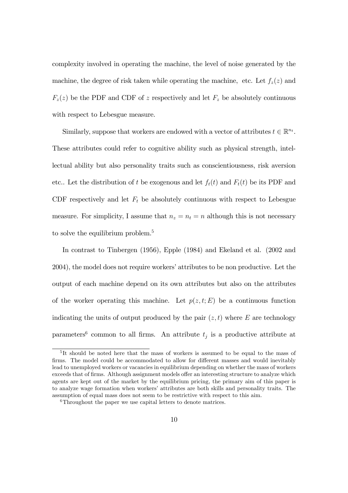complexity involved in operating the machine, the level of noise generated by the machine, the degree of risk taken while operating the machine, etc. Let  $f_z(z)$  and  $F_z(z)$  be the PDF and CDF of z respectively and let  $F_z$  be absolutely continuous with respect to Lebesgue measure.

Similarly, suppose that workers are endowed with a vector of attributes  $t \in \mathbb{R}^{n_t}$ . These attributes could refer to cognitive ability such as physical strength, intellectual ability but also personality traits such as conscientiousness, risk aversion etc.. Let the distribution of t be exogenous and let  $f_t(t)$  and  $F_t(t)$  be its PDF and CDF respectively and let  $F_t$  be absolutely continuous with respect to Lebesgue measure. For simplicity, I assume that  $n_z = n_t = n$  although this is not necessary to solve the equilibrium problem.<sup>5</sup>

In contrast to Tinbergen (1956), Epple (1984) and Ekeland et al. (2002 and 2004), the model does not require workers' attributes to be non productive. Let the output of each machine depend on its own attributes but also on the attributes of the worker operating this machine. Let  $p(z, t; E)$  be a continuous function indicating the units of output produced by the pair  $(z, t)$  where E are technology parameters<sup>6</sup> common to all firms. An attribute  $t_j$  is a productive attribute at

<sup>&</sup>lt;sup>5</sup>It should be noted here that the mass of workers is assumed to be equal to the mass of firms. The model could be accommodated to allow for different masses and would inevitably lead to unemployed workers or vacancies in equilibrium depending on whether the mass of workers exceeds that of firms. Although assignment models offer an interesting structure to analyze which agents are kept out of the market by the equilibrium pricing, the primary aim of this paper is to analyze wage formation when workers' attributes are both skills and personality traits. The assumption of equal mass does not seem to be restrictive with respect to this aim.

<sup>&</sup>lt;sup>6</sup>Throughout the paper we use capital letters to denote matrices.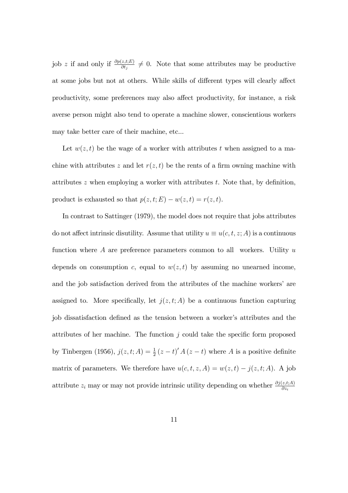job z if and only if  $\frac{\partial p(z,t;E)}{\partial t_j} \neq 0$ . Note that some attributes may be productive at some jobs but not at others. While skills of different types will clearly affect productivity, some preferences may also affect productivity, for instance, a risk averse person might also tend to operate a machine slower, conscientious workers may take better care of their machine, etc...

Let  $w(z, t)$  be the wage of a worker with attributes t when assigned to a machine with attributes z and let  $r(z, t)$  be the rents of a firm owning machine with attributes  $z$  when employing a worker with attributes  $t$ . Note that, by definition, product is exhausted so that  $p(z, t; E) - w(z, t) = r(z, t)$ .

In contrast to Sattinger (1979), the model does not require that jobs attributes do not affect intrinsic disutility. Assume that utility  $u \equiv u(c, t, z; A)$  is a continuous function where  $A$  are preference parameters common to all workers. Utility  $u$ depends on consumption c, equal to  $w(z, t)$  by assuming no unearned income, and the job satisfaction derived from the attributes of the machine workers' are assigned to. More specifically, let  $j(z, t; A)$  be a continuous function capturing job dissatisfaction defined as the tension between a worker's attributes and the attributes of her machine. The function  $j$  could take the specific form proposed by Tinbergen (1956),  $j(z, t; A) = \frac{1}{2} (z - t)' A (z - t)$  where A is a positive definite matrix of parameters. We therefore have  $u(c, t, z, A) = w(z, t) - j(z, t; A)$ . A job attribute  $z_i$  may or may not provide intrinsic utility depending on whether  $\frac{\partial j(z,t;A)}{\partial z_i}$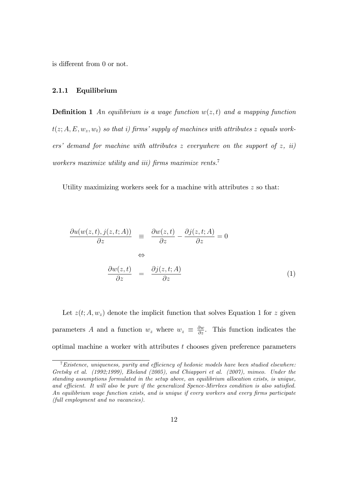is different from 0 or not.

#### 2.1.1 Equilibrium

**Definition 1** An equilibrium is a wage function  $w(z, t)$  and a mapping function  $t(z; A, E, w_z, w_t)$  so that i) firms' supply of machines with attributes z equals workers' demand for machine with attributes z everywhere on the support of z, ii) workers maximize utility and iii) firms maximize rents.<sup>7</sup>

Utility maximizing workers seek for a machine with attributes  $z$  so that:

$$
\frac{\partial u(w(z,t),j(z,t;A))}{\partial z} \equiv \frac{\partial w(z,t)}{\partial z} - \frac{\partial j(z,t;A)}{\partial z} = 0
$$
  

$$
\Leftrightarrow
$$
  

$$
\frac{\partial w(z,t)}{\partial z} = \frac{\partial j(z,t;A)}{\partial z}
$$
 (1)

Let  $z(t; A, w_z)$  denote the implicit function that solves Equation 1 for z given parameters A and a function  $w_z$  where  $w_z \equiv \frac{\partial w}{\partial z}$ . This function indicates the optimal machine a worker with attributes t chooses given preference parameters

 $7$  Existence, uniqueness, purity and efficiency of hedonic models have been studied elsewhere: Gretsky et al. (1992;1999), Ekeland (2005), and Chiappori et al. (2007), mimeo. Under the standing assumptions formulated in the setup above, an equilibrium allocation exists, is unique, and efficient. It will also be pure if the generalized Spence-Mirrlees condition is also satisfied. An equilibrium wage function exists, and is unique if every workers and every firms participate (full employment and no vacancies).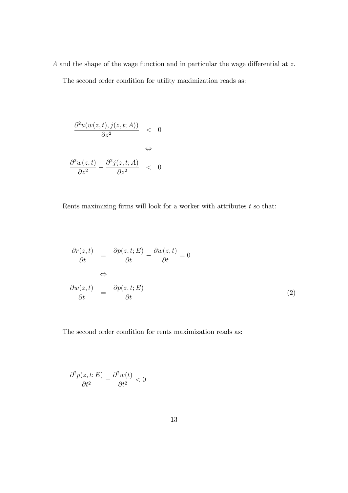A and the shape of the wage function and in particular the wage differential at  $z$ . The second order condition for utility maximization reads as:

$$
\frac{\partial^2 u(w(z,t),j(z,t;A))}{\partial z^2} \quad < \quad 0
$$
\n
$$
\Leftrightarrow
$$
\n
$$
\frac{\partial^2 w(z,t)}{\partial z^2} - \frac{\partial^2 j(z,t;A)}{\partial z^2} \quad < \quad 0
$$

Rents maximizing firms will look for a worker with attributes  $t$  so that:

$$
\frac{\partial r(z,t)}{\partial t} = \frac{\partial p(z,t;E)}{\partial t} - \frac{\partial w(z,t)}{\partial t} = 0
$$
\n
$$
\Leftrightarrow
$$
\n
$$
\frac{\partial w(z,t)}{\partial t} = \frac{\partial p(z,t;E)}{\partial t}
$$
\n(2)

The second order condition for rents maximization reads as:

$$
\frac{\partial^2 p(z,t;E)}{\partial t^2} - \frac{\partial^2 w(t)}{\partial t^2} < 0
$$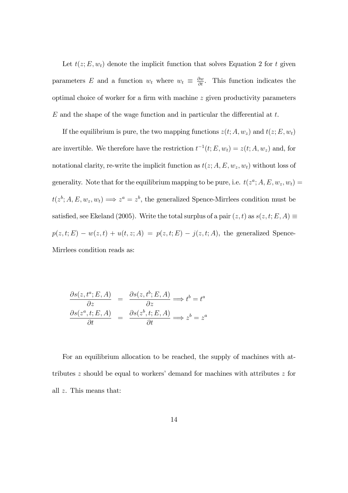Let  $t(z; E, w_t)$  denote the implicit function that solves Equation 2 for t given parameters E and a function  $w_t$  where  $w_t \equiv \frac{\partial w}{\partial t}$ . This function indicates the optimal choice of worker for a firm with machine  $z$  given productivity parameters  $E$  and the shape of the wage function and in particular the differential at  $t$ .

If the equilibrium is pure, the two mapping functions  $z(t; A, w_z)$  and  $t(z; E, w_t)$ are invertible. We therefore have the restriction  $t^{-1}(t; E, w_t) = z(t; A, w_z)$  and, for notational clarity, re-write the implicit function as  $t(z; A, E, w_z, w_t)$  without loss of generality. Note that for the equilibrium mapping to be pure, i.e.  $t(z^a; A, E, w_z, w_t) =$  $t(z^b; A, E, w_z, w_t) \Longrightarrow z^a = z^b$ , the generalized Spence-Mirrlees condition must be satisfied, see Ekeland (2005). Write the total surplus of a pair  $(z, t)$  as  $s(z, t; E, A) \equiv$  $p(z, t; E) - w(z, t) + u(t, z; A) = p(z, t; E) - j(z, t; A)$ , the generalized Spence-Mirrlees condition reads as:

$$
\frac{\partial s(z, t^a; E, A)}{\partial z} = \frac{\partial s(z, t^b; E, A)}{\partial z} \Longrightarrow t^b = t^a
$$
  

$$
\frac{\partial s(z^a, t; E, A)}{\partial t} = \frac{\partial s(z^b, t; E, A)}{\partial t} \Longrightarrow z^b = z^a
$$

For an equilibrium allocation to be reached, the supply of machines with attributes  $z$  should be equal to workers' demand for machines with attributes  $z$  for all z. This means that: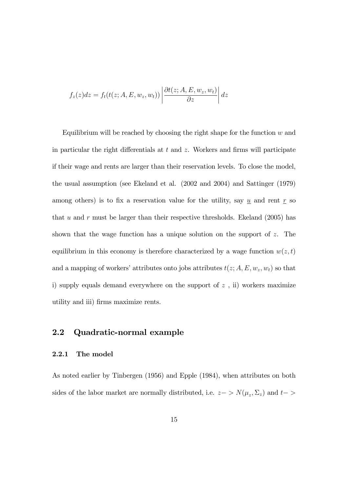$$
f_z(z)dz = f_t(t(z; A, E, w_z, w_t)) \left| \frac{\partial t(z; A, E, w_z, w_t)}{\partial z} \right| dz
$$

Equilibrium will be reached by choosing the right shape for the function  $w$  and in particular the right differentials at  $t$  and  $z$ . Workers and firms will participate if their wage and rents are larger than their reservation levels. To close the model, the usual assumption (see Ekeland et al. (2002 and 2004) and Sattinger (1979) among others) is to fix a reservation value for the utility, say  $\underline{u}$  and rent  $\underline{r}$  so that u and r must be larger than their respective thresholds. Ekeland  $(2005)$  has shown that the wage function has a unique solution on the support of z. The equilibrium in this economy is therefore characterized by a wage function  $w(z, t)$ and a mapping of workers' attributes onto jobs attributes  $t(z; A, E, w_z, w_t)$  so that i) supply equals demand everywhere on the support of  $z$ , ii) workers maximize utility and iii) Örms maximize rents.

### 2.2 Quadratic-normal example

#### 2.2.1 The model

As noted earlier by Tinbergen (1956) and Epple (1984), when attributes on both sides of the labor market are normally distributed, i.e.  $z->N(\mu_z, \Sigma_z)$  and  $t->$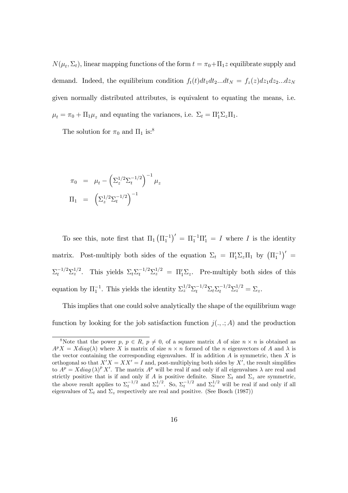$N(\mu_t, \Sigma_t)$ , linear mapping functions of the form  $t = \pi_0 + \Pi_1 z$  equilibrate supply and demand. Indeed, the equilibrium condition  $f_t(t)dt_1dt_2...dt_N = f_z(z)dz_1dz_2...dz_N$ given normally distributed attributes, is equivalent to equating the means, i.e.  $\mu_t = \pi_0 + \Pi_1 \mu_z$  and equating the variances, i.e.  $\Sigma_t = \Pi'_1 \Sigma_z \Pi_1$ .

The solution for  $\pi_0$  and  $\Pi_1$  is:<sup>8</sup>

$$
\pi_0 = \mu_t - \left(\Sigma_z^{1/2} \Sigma_t^{-1/2}\right)^{-1} \mu_z
$$
  

$$
\Pi_1 = \left(\Sigma_z^{1/2} \Sigma_t^{-1/2}\right)^{-1}
$$

To see this, note first that  $\Pi_1 (\Pi_1^{-1})' = \Pi_1^{-1} \Pi_1' = I$  where I is the identity matrix. Post-multiply both sides of the equation  $\Sigma_t = \Pi'_1 \Sigma_z \Pi_1$  by  $(\Pi_1^{-1})' =$  $\Sigma_t^{-1/2} \Sigma_z^{1/2}$ . This yields  $\Sigma_t \Sigma_t^{-1/2} \Sigma_z^{1/2} = \Pi'_1 \Sigma_z$ . Pre-multiply both sides of this equation by  $\Pi_1^{-1}$ . This yields the identity  $\Sigma_z^{1/2} \Sigma_t^{-1/2} \Sigma_t \Sigma_t^{-1/2} \Sigma_z^{1/2} = \Sigma_z$ .

This implies that one could solve analytically the shape of the equilibrium wage function by looking for the job satisfaction function  $j(.,.; A)$  and the production

<sup>&</sup>lt;sup>8</sup>Note that the power  $p, p \in R$ ,  $p \neq 0$ , of a square matrix A of size  $n \times n$  is obtained as  $A^p X = X diag(\lambda)$  where X is matrix of size  $n \times n$  formed of the n eigenvectors of A and  $\lambda$  is the vector containing the corresponding eigenvalues. If in addition  $A$  is symmetric, then  $X$  is orthogonal so that  $X'X = XX' = I$  and, post-multiplying both sides by X', the result simplifies to  $A^p = X diag(\lambda)^p X'$ . The matrix  $A^p$  will be real if and only if all eigenvalues  $\lambda$  are real and strictly positive that is if and only if A is positive definite. Since  $\Sigma_t$  and  $\Sigma_z$  are symmetric, the above result applies to  $\Sigma_t^{-1/2}$  and  $\Sigma_z^{1/2}$ . So,  $\Sigma_t^{-1/2}$  and  $\Sigma_z^{1/2}$  will be real if and only if all eigenvalues of  $\Sigma_t$  and  $\Sigma_z$  respectively are real and positive. (See Bosch (1987))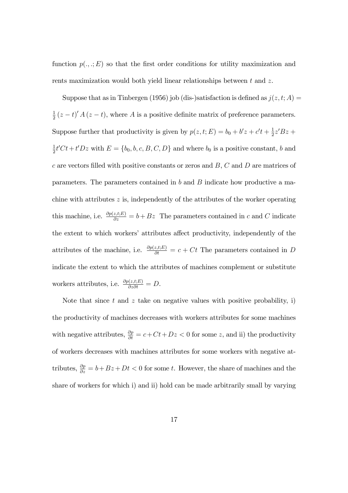function  $p(., .; E)$  so that the first order conditions for utility maximization and rents maximization would both yield linear relationships between  $t$  and  $z$ .

Suppose that as in Tinbergen (1956) job (dis-)satisfaction is defined as  $j(z, t; A)$  = 1  $\frac{1}{2}(z-t)' A (z-t)$ , where A is a positive definite matrix of preference parameters. Suppose further that productivity is given by  $p(z, t; E) = b_0 + b'z + c't + \frac{1}{2}$  $rac{1}{2}z'Bz +$ 1  $\frac{1}{2}t'Ct+t'Dz$  with  $E = \{b_0, b, c, B, C, D\}$  and where  $b_0$  is a positive constant, b and c are vectors filled with positive constants or zeros and  $B, C$  and D are matrices of parameters. The parameters contained in b and  $B$  indicate how productive a machine with attributes  $z$  is, independently of the attributes of the worker operating this machine, i.e.  $\frac{\partial p(z,t;E)}{\partial z} = b + Bz$  The parameters contained in c and C indicate the extent to which workers' attributes affect productivity, independently of the attributes of the machine, i.e.  $\frac{\partial p(z,t;E)}{\partial t} = c + Ct$  The parameters contained in D indicate the extent to which the attributes of machines complement or substitute workers attributes, i.e.  $\frac{\partial p(z,t;E)}{\partial z \partial t} = D$ .

Note that since  $t$  and  $z$  take on negative values with positive probability, i) the productivity of machines decreases with workers attributes for some machines with negative attributes,  $\frac{\partial p}{\partial t} = c + Ct + Dz < 0$  for some z, and ii) the productivity of workers decreases with machines attributes for some workers with negative attributes,  $\frac{\partial p}{\partial z} = b + Bz + Dt < 0$  for some t. However, the share of machines and the share of workers for which i) and ii) hold can be made arbitrarily small by varying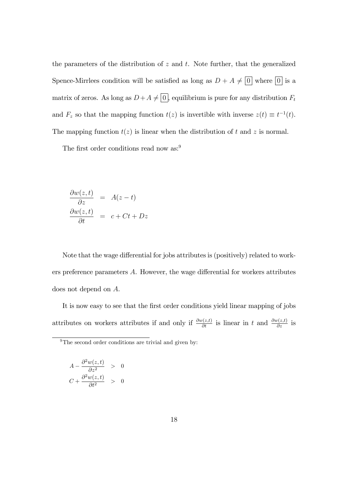the parameters of the distribution of  $z$  and  $t$ . Note further, that the generalized Spence-Mirrlees condition will be satisfied as long as  $D + A \neq 0$  where  $\boxed{0}$  is a matrix of zeros. As long as  $D + A \neq \boxed{0}$ , equilibrium is pure for any distribution  $F_t$ and  $F_z$  so that the mapping function  $t(z)$  is invertible with inverse  $z(t) \equiv t^{-1}(t)$ . The mapping function  $t(z)$  is linear when the distribution of t and z is normal.

The first order conditions read now as:<sup>9</sup>

$$
\frac{\partial w(z,t)}{\partial z} = A(z-t)
$$

$$
\frac{\partial w(z,t)}{\partial t} = c + Ct + Dz
$$

Note that the wage differential for jobs attributes is (positively) related to workers preference parameters  $A$ . However, the wage differential for workers attributes does not depend on A.

It is now easy to see that the first order conditions yield linear mapping of jobs attributes on workers attributes if and only if  $\frac{\partial w(z,t)}{\partial t}$  is linear in t and  $\frac{\partial w(z,t)}{\partial z}$  is

$$
A - \frac{\partial^2 w(z, t)}{\partial z^2} > 0
$$
  

$$
C + \frac{\partial^2 w(z, t)}{\partial t^2} > 0
$$

 $9$ The second order conditions are trivial and given by: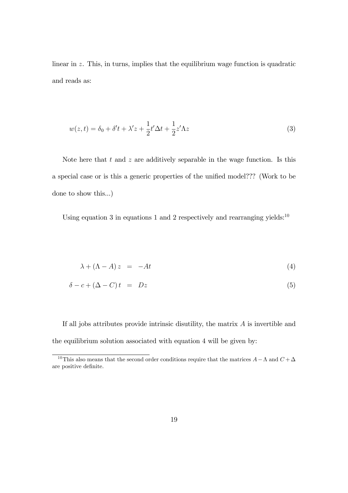linear in z. This, in turns, implies that the equilibrium wage function is quadratic and reads as:

$$
w(z,t) = \delta_0 + \delta' t + \lambda' z + \frac{1}{2} t' \Delta t + \frac{1}{2} z' \Delta z \tag{3}
$$

Note here that  $t$  and  $z$  are additively separable in the wage function. Is this a special case or is this a generic properties of the unified model??? (Work to be done to show this...)

Using equation 3 in equations 1 and 2 respectively and rearranging yields: $10$ 

$$
\lambda + (\Lambda - A) z = -At \tag{4}
$$

$$
\delta - c + (\Delta - C)t = Dz \tag{5}
$$

If all jobs attributes provide intrinsic disutility, the matrix  $A$  is invertible and the equilibrium solution associated with equation 4 will be given by:

<sup>&</sup>lt;sup>10</sup>This also means that the second order conditions require that the matrices  $A - \Lambda$  and  $C + \Delta$ are positive definite.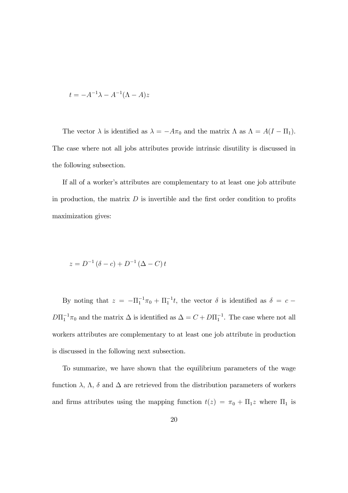$$
t = -A^{-1}\lambda - A^{-1}(\Lambda - A)z
$$

The vector  $\lambda$  is identified as  $\lambda = -A\pi_0$  and the matrix  $\Lambda$  as  $\Lambda = A(I - \Pi_1)$ . The case where not all jobs attributes provide intrinsic disutility is discussed in the following subsection.

If all of a worker's attributes are complementary to at least one job attribute in production, the matrix  $D$  is invertible and the first order condition to profits maximization gives:

$$
z = D^{-1} (\delta - c) + D^{-1} (\Delta - C) t
$$

By noting that  $z = -\Pi_1^{-1}\pi_0 + \Pi_1^{-1}t$ , the vector  $\delta$  is identified as  $\delta = c D\Pi_1^{-1}\pi_0$  and the matrix  $\Delta$  is identified as  $\Delta = C + D\Pi_1^{-1}$ . The case where not all workers attributes are complementary to at least one job attribute in production is discussed in the following next subsection.

To summarize, we have shown that the equilibrium parameters of the wage function  $\lambda$ ,  $\Lambda$ ,  $\delta$  and  $\Delta$  are retrieved from the distribution parameters of workers and firms attributes using the mapping function  $t(z) = \pi_0 + \Pi_1 z$  where  $\Pi_1$  is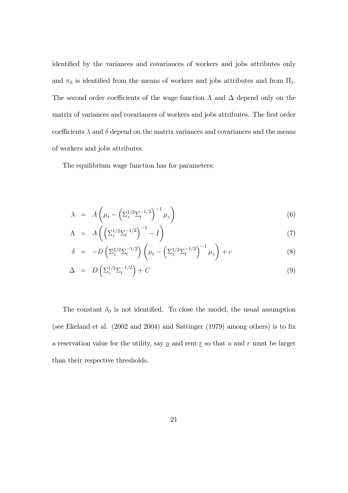identified by the variances and covariances of workers and jobs attributes only and  $\pi_0$  is identified from the means of workers and jobs attributes and from  $\Pi_1.$ The second order coefficients of the wage function  $\Lambda$  and  $\Delta$  depend only on the matrix of variances and covariances of workers and jobs attributes. The first order coefficients  $\lambda$  and  $\delta$  depend on the matrix variances and covariances and the means of workers and jobs attributes.

The equilibrium wage function has for parameters:

$$
\lambda = A \left( \mu_t - \left( \Sigma_z^{1/2} \Sigma_t^{-1/2} \right)^{-1} \mu_z \right) \tag{6}
$$

$$
\Lambda = A\left(\left(\Sigma_z^{1/2}\Sigma_t^{-1/2}\right)^{-1} - I\right) \tag{7}
$$

$$
\delta = -D\left(\Sigma_z^{1/2}\Sigma_t^{-1/2}\right)\left(\mu_t - \left(\Sigma_z^{1/2}\Sigma_t^{-1/2}\right)^{-1}\mu_z\right) + c\tag{8}
$$

$$
\Delta = D\left(\Sigma_z^{1/2}\Sigma_t^{-1/2}\right) + C\tag{9}
$$

The constant  $\delta_0$  is not identified. To close the model, the usual assumption (see Ekeland et al.  $(2002 \text{ and } 2004)$  and Sattinger  $(1979)$  among others) is to fix a reservation value for the utility, say  $\underline{u}$  and rent  $\underline{r}$  so that  $u$  and  $r$  must be larger than their respective thresholds.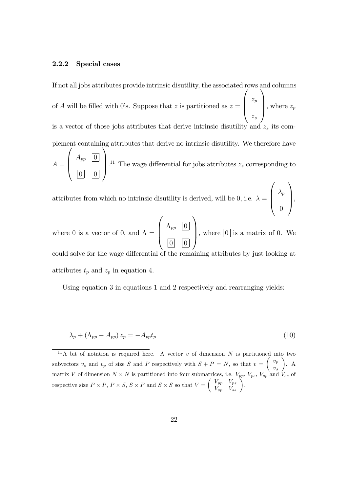#### 2.2.2 Special cases

If not all jobs attributes provide intrinsic disutility, the associated rows and columns of A will be filled with 0's. Suppose that z is partitioned as  $z =$  $\sqrt{ }$  $\overline{\phantom{a}}$  $z_p$  $z_s$ 1 , where  $z_p$ is a vector of those jobs attributes that derive intrinsic disutility and plement containing attributes that derive no intrinsic disutility. We therefore have  $\sqrt{ }$  $\sqrt{2}$ 

 $A =$  $\overline{\phantom{a}}$  $A_{pp}$  | 0  $0$  |  $0$ <sup>11</sup> The wage differential for jobs attributes  $z_s$  corresponding to  $\sqrt{ }$  $\setminus$ 

attributes from which no intrinsic disutility is derived, will be 0, i.e.  $\lambda =$  $\parallel$  $\lambda_p$  $\overline{0}$  $\Bigg\}$ 

where  $\underline{0}$  is a vector of 0, and  $\Lambda =$  $\sqrt{ }$  $\overline{\phantom{a}}$  $\Lambda_{pp}$   $\boxed{0}$  $0 \mid 0$ 1 , where  $\boxed{0}$  is a matrix of 0. We could solve for the wage differential of the remaining attributes by just looking at attributes  $t_p$  and  $z_p$  in equation 4.

Using equation 3 in equations 1 and 2 respectively and rearranging yields:

$$
\lambda_p + (\Lambda_{pp} - A_{pp}) z_p = -A_{pp} t_p \tag{10}
$$

<sup>&</sup>lt;sup>11</sup>A bit of notation is required here. A vector v of dimension N is partitioned into subvectors  $v_s$  and  $v_p$  of size S and P respectively with  $S + P = N$ , so that  $v =$  $\int v_p$  $v_s$  $\setminus$ . A matrix V of dimension  $N \times N$  is partitioned into four submatrices, i.e.  $V_{pp}$ ,  $V_{ps}$ ,  $V_{sp}$  and  $V_{ss}$  of respective size  $P \times P$ ,  $P \times S$ ,  $S \times P$  and  $S \times S$  so that  $V =$  $\begin{pmatrix} V_{pp} & V_{ps} \\ V_{sp} & V_{ss} \end{pmatrix}$ .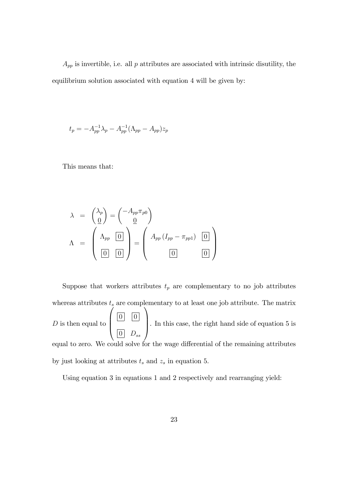$A_{pp}$  is invertible, i.e. all  $p$  attributes are associated with intrinsic disutility, the equilibrium solution associated with equation 4 will be given by:

$$
t_p = -A_{pp}^{-1} \lambda_p - A_{pp}^{-1} (\Lambda_{pp} - A_{pp}) z_p
$$

This means that:

$$
\lambda = {\lambda_p \choose \underline{0}} = {\lambda_p \pi_{p0} \choose \underline{0}}
$$

$$
\Lambda = {\lambda_p \choose \underline{0}} = {\lambda_p (I_{pp} - \pi_{pp1}) \boxed{0}}
$$

Suppose that workers attributes  $t_p$  are complementary to no job attributes whereas attributes  $t_s$  are complementary to at least one job attribute. The matrix  $D$  is then equal to  $\overline{ }$  $\overline{\phantom{a}}$  $0 \mid 0$  $\begin{array}{|c|c|} \hline 0 & D_{ss} \ \hline \end{array}$ 1 . In this case, the right hand side of equation  $5$  is equal to zero. We could solve for the wage differential of the remaining attributes by just looking at attributes  $t_s$  and  $z_s$  in equation 5.

Using equation 3 in equations 1 and 2 respectively and rearranging yield: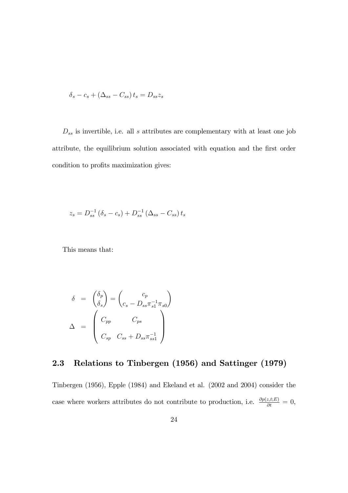$$
\delta_s - c_s + (\Delta_{ss} - C_{ss}) t_s = D_{ss} z_s
$$

 $\mathcal{D}_{ss}$  is invertible, i.e. all  $s$  attributes are complementary with at least one job attribute, the equilibrium solution associated with equation and the first order condition to profits maximization gives:

$$
z_s = D_{ss}^{-1} (\delta_s - c_s) + D_{ss}^{-1} (\Delta_{ss} - C_{ss}) t_s
$$

This means that:

$$
\delta = \begin{pmatrix} \delta_p \\ \delta_s \end{pmatrix} = \begin{pmatrix} c_p \\ c_s - D_{ss} \pi_{s1}^{-1} \pi_{s0} \end{pmatrix}
$$

$$
\Delta = \begin{pmatrix} C_{pp} & C_{ps} \\ C_{sp} & C_{ss} + D_{ss} \pi_{ss1}^{-1} \end{pmatrix}
$$

# 2.3 Relations to Tinbergen (1956) and Sattinger (1979)

Tinbergen (1956), Epple (1984) and Ekeland et al. (2002 and 2004) consider the case where workers attributes do not contribute to production, i.e.  $\frac{\partial p(z,t;E)}{\partial t} = 0$ ,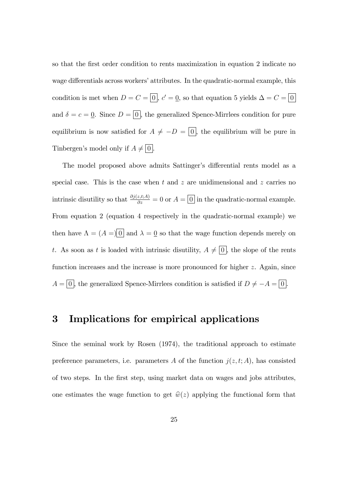so that the first order condition to rents maximization in equation 2 indicate no wage differentials across workers' attributes. In the quadratic-normal example, this condition is met when  $D = C = |0|, c' = 0$ , so that equation 5 yields  $\Delta = C = |0|$ and  $\delta = c = 0$ . Since  $D = 0$ , the generalized Spence-Mirrlees condition for pure equilibrium is now satisfied for  $A \neq -D = \boxed{0}$ , the equilibrium will be pure in Tinbergen's model only if  $A \neq 0$ .

The model proposed above admits Sattinger's differential rents model as a special case. This is the case when t and z are unidimensional and z carries no intrinsic disutility so that  $\frac{\partial j(z,t;A)}{\partial z} = 0$  or  $A = \boxed{0}$  in the quadratic-normal example. From equation 2 (equation 4 respectively in the quadratic-normal example) we then have  $\Lambda = (A = 0$  and  $\lambda = 0$  so that the wage function depends merely on t. As soon as t is loaded with intrinsic disutility,  $A \neq \boxed{0}$ , the slope of the rents function increases and the increase is more pronounced for higher z. Again, since  $A = \boxed{0}$ , the generalized Spence-Mirrlees condition is satisfied if  $D \neq -A = \boxed{0}$ .

### 3 Implications for empirical applications

Since the seminal work by Rosen (1974), the traditional approach to estimate preference parameters, i.e. parameters A of the function  $j(z, t; A)$ , has consisted of two steps. In the Örst step, using market data on wages and jobs attributes, one estimates the wage function to get  $\hat{w}(z)$  applying the functional form that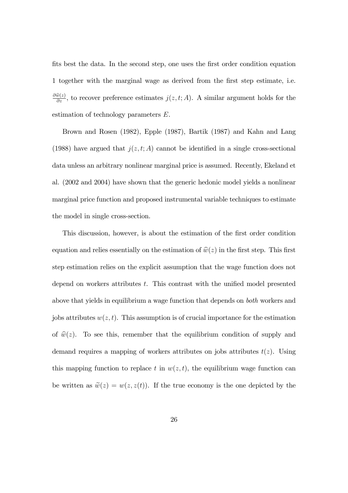fits best the data. In the second step, one uses the first order condition equation 1 together with the marginal wage as derived from the Örst step estimate, i.e.  $\frac{\partial \hat{w}(z)}{\partial z}$ , to recover preference estimates  $j(z, t; A)$ . A similar argument holds for the estimation of technology parameters E.

Brown and Rosen (1982), Epple (1987), Bartik (1987) and Kahn and Lang (1988) have argued that  $j(z, t; A)$  cannot be identified in a single cross-sectional data unless an arbitrary nonlinear marginal price is assumed. Recently, Ekeland et al. (2002 and 2004) have shown that the generic hedonic model yields a nonlinear marginal price function and proposed instrumental variable techniques to estimate the model in single cross-section.

This discussion, however, is about the estimation of the first order condition equation and relies essentially on the estimation of  $\hat{w}(z)$  in the first step. This first step estimation relies on the explicit assumption that the wage function does not depend on workers attributes  $t$ . This contrast with the unified model presented above that yields in equilibrium a wage function that depends on both workers and jobs attributes  $w(z, t)$ . This assumption is of crucial importance for the estimation of  $\hat{w}(z)$ . To see this, remember that the equilibrium condition of supply and demand requires a mapping of workers attributes on jobs attributes  $t(z)$ . Using this mapping function to replace t in  $w(z, t)$ , the equilibrium wage function can be written as  $\tilde{w}(z) = w(z, z(t))$ . If the true economy is the one depicted by the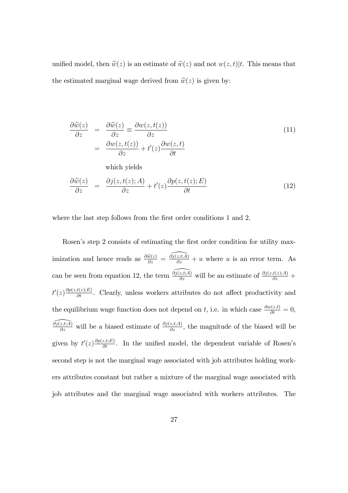unified model, then  $\hat{w}(z)$  is an estimate of  $\tilde{w}(z)$  and not  $w(z, t)|t$ . This means that the estimated marginal wage derived from  $\hat{w}(z)$  is given by:

$$
\frac{\partial \widehat{w}(z)}{\partial z} = \frac{\partial \widehat{w}(z)}{\partial z} = \frac{\partial w(z, t(z))}{\partial z}
$$
(11)  

$$
= \frac{\partial w(z, t(z))}{\partial z} + t'(z) \frac{\partial w(z, t)}{\partial t}
$$
  
which yields  

$$
\frac{\partial \widehat{w}(z)}{\partial z} = \frac{\partial j(z, t(z); A)}{\partial z} + t'(z) \frac{\partial p(z, t(z); E)}{\partial t}
$$
(12)

where the last step follows from the first order conditions 1 and 2.

Rosen's step 2 consists of estimating the first order condition for utility maximization and hence reads as  $\frac{\partial \hat{w}(z)}{\partial z} = \frac{\partial j(z,t;A)}{\partial z} + u$  where u is an error term. As can be seen from equation 12, the term  $\frac{\partial j(z,t;\overline{A})}{\partial z}$  will be an estimate of  $\frac{\partial j(z,t(z);A)}{\partial z}$  +  $t'(z) \frac{\partial p(z,t(z);E)}{\partial t}$ . Clearly, unless workers attributes do not affect productivity and the equilibrium wage function does not depend on t, i.e. in which case  $\frac{\partial w(z,t)}{\partial t} = 0$ ,  $\frac{\partial j(z,t;\overline{A})}{\partial z}$  will be a biased estimate of  $\frac{\partial j(z,t;\overline{A})}{\partial z}$ , the magnitude of the biased will be given by  $t'(z) \frac{\partial p(z,t;E)}{\partial t}$ . In the unified model, the dependent variable of Rosen's second step is not the marginal wage associated with job attributes holding workers attributes constant but rather a mixture of the marginal wage associated with job attributes and the marginal wage associated with workers attributes. The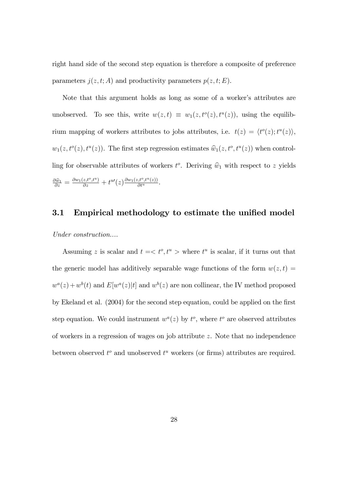right hand side of the second step equation is therefore a composite of preference parameters  $j(z, t; A)$  and productivity parameters  $p(z, t; E)$ .

Note that this argument holds as long as some of a worker's attributes are unobserved. To see this, write  $w(z,t) \equiv w_1(z,t^o(z), t^u(z))$ , using the equilibrium mapping of workers attributes to jobs attributes, i.e.  $t(z) = \langle t^o(z); t^u(z) \rangle$ ,  $w_1(z, t^o(z), t^u(z))$ . The first step regression estimates  $\hat{w}_1(z, t^o, t^u(z))$  when controlling for observable attributes of workers  $t^o$ . Deriving  $\hat{w}_1$  with respect to z yields  $\frac{\partial \hat{w}_1}{\partial z} = \frac{\partial w_1(z,t^o,t^u)}{\partial z} + t^u(z) \frac{\partial w_1(z,t^o,t^u(z))}{\partial t^u}.$ 

#### 3.1 Empirical methodology to estimate the unified model

Under construction....

Assuming z is scalar and  $t = \langle t^o, t^u \rangle$  where  $t^u$  is scalar, if it turns out that the generic model has additively separable wage functions of the form  $w(z, t) =$  $w^a(z) + w^b(t)$  and  $E[w^a(z)|t]$  and  $w^b(z)$  are non collinear, the IV method proposed by Ekeland et al. (2004) for the second step equation, could be applied on the first step equation. We could instrument  $w^a(z)$  by  $t^o$ , where  $t^o$  are observed attributes of workers in a regression of wages on job attribute z. Note that no independence between observed  $t^o$  and unobserved  $t^u$  workers (or firms) attributes are required.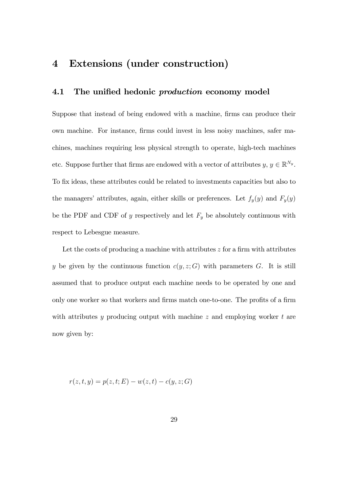# 4 Extensions (under construction)

### 4.1 The unified hedonic *production* economy model

Suppose that instead of being endowed with a machine, firms can produce their own machine. For instance, Örms could invest in less noisy machines, safer machines, machines requiring less physical strength to operate, high-tech machines etc. Suppose further that firms are endowed with a vector of attributes  $y, y \in \mathbb{R}^{N_y}$ . To fix ideas, these attributes could be related to investments capacities but also to the managers' attributes, again, either skills or preferences. Let  $f_y(y)$  and  $F_y(y)$ be the PDF and CDF of y respectively and let  $F_y$  be absolutely continuous with respect to Lebesgue measure.

Let the costs of producing a machine with attributes  $z$  for a firm with attributes y be given by the continuous function  $c(y, z; G)$  with parameters G. It is still assumed that to produce output each machine needs to be operated by one and only one worker so that workers and firms match one-to-one. The profits of a firm with attributes y producing output with machine  $z$  and employing worker  $t$  are now given by:

$$
r(z, t, y) = p(z, t; E) - w(z, t) - c(y, z; G)
$$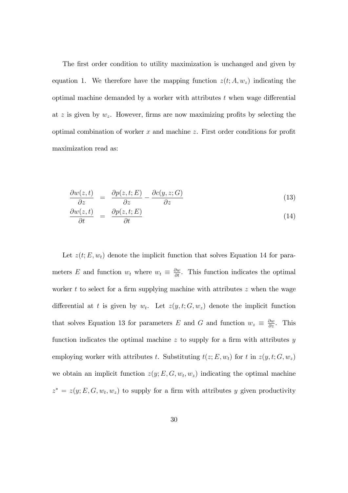The first order condition to utility maximization is unchanged and given by equation 1. We therefore have the mapping function  $z(t; A, w_z)$  indicating the optimal machine demanded by a worker with attributes  $t$  when wage differential at z is given by  $w_z$ . However, firms are now maximizing profits by selecting the optimal combination of worker  $x$  and machine  $z$ . First order conditions for profit maximization read as:

$$
\frac{\partial w(z,t)}{\partial z} = \frac{\partial p(z,t;E)}{\partial z} - \frac{\partial c(y,z;G)}{\partial z} \tag{13}
$$

$$
\frac{\partial w(z,t)}{\partial t} = \frac{\partial p(z,t;E)}{\partial t} \tag{14}
$$

Let  $z(t; E, w_t)$  denote the implicit function that solves Equation 14 for parameters E and function  $w_t$  where  $w_t \equiv \frac{\partial w}{\partial t}$ . This function indicates the optimal worker t to select for a firm supplying machine with attributes  $z$  when the wage differential at t is given by  $w_t$ . Let  $z(y, t; G, w_z)$  denote the implicit function that solves Equation 13 for parameters E and G and function  $w_z \equiv \frac{\partial w}{\partial z}$ . This function indicates the optimal machine z to supply for a firm with attributes  $y$ employing worker with attributes t. Substituting  $t(z; E, w_t)$  for t in  $z(y, t; G, w_z)$ we obtain an implicit function  $z(y; E, G, w_t, w_z)$  indicating the optimal machine  $z^* = z(y; E, G, w_t, w_z)$  to supply for a firm with attributes y given productivity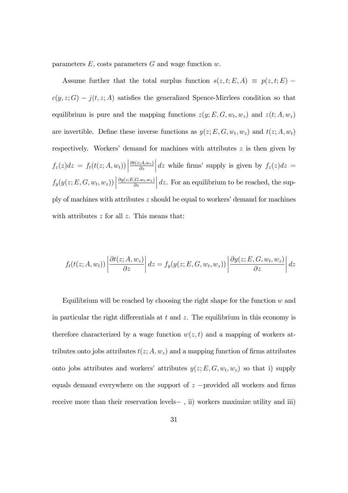parameters  $E$ , costs parameters  $G$  and wage function  $w$ .

Assume further that the total surplus function  $s(z, t; E, A) \equiv p(z, t; E)$  $c(y, z; G) - j(t, z; A)$  satisfies the generalized Spence-Mirrlees condition so that equilibrium is pure and the mapping functions  $z(y; E, G, w_t, w_z)$  and  $z(t; A, w_z)$ are invertible. Define these inverse functions as  $y(z; E, G, w_t, w_z)$  and  $t(z; A, w_t)$ respectively. Workers' demand for machines with attributes  $z$  is then given by  $f_z(z)dz = f_t(t(z;A,w_t))\Big|$  $\partial t(z;A,w_z)$  $\partial z$  $\Big| dz$  while firms' supply is given by  $f_z(z)dz =$  $f_y(y(z; E, G, w_t, w_z))\bigg|$  $\partial y(z;E,G,w_t,w_z)$  $\partial z$  $\Big|$  dz. For an equilibrium to be reached, the supply of machines with attributes  $z$  should be equal to workers' demand for machines with attributes  $z$  for all  $z$ . This means that:

$$
f_t(t(z;A,w_t))\left|\frac{\partial t(z;A,w_z)}{\partial z}\right|dz = f_y(y(z;E,G,w_t,w_z))\left|\frac{\partial y(z;E,G,w_t,w_z)}{\partial z}\right|dz
$$

Equilibrium will be reached by choosing the right shape for the function  $w$  and in particular the right differentials at  $t$  and  $z$ . The equilibrium in this economy is therefore characterized by a wage function  $w(z, t)$  and a mapping of workers attributes onto jobs attributes  $t(z; A, w_z)$  and a mapping function of firms attributes onto jobs attributes and workers' attributes  $y(z; E, G, w_t, w_z)$  so that i) supply equals demand everywhere on the support of  $z$  -provided all workers and firms receive more than their reservation levels $-$ , ii) workers maximize utility and iii)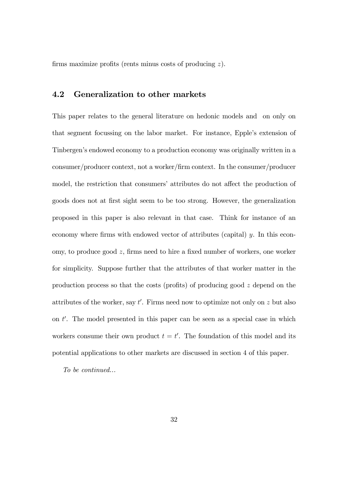firms maximize profits (rents minus costs of producing  $z$ ).

### 4.2 Generalization to other markets

This paper relates to the general literature on hedonic models and on only on that segment focussing on the labor market. For instance, Epple's extension of Tinbergen's endowed economy to a production economy was originally written in a consumer/producer context, not a worker/Örm context. In the consumer/producer model, the restriction that consumers' attributes do not affect the production of goods does not at Örst sight seem to be too strong. However, the generalization proposed in this paper is also relevant in that case. Think for instance of an economy where firms with endowed vector of attributes (capital)  $y$ . In this economy, to produce good  $z$ , firms need to hire a fixed number of workers, one worker for simplicity. Suppose further that the attributes of that worker matter in the production process so that the costs (profits) of producing good  $z$  depend on the attributes of the worker, say  $t'$ . Firms need now to optimize not only on z but also on  $t'$ . The model presented in this paper can be seen as a special case in which workers consume their own product  $t = t'$ . The foundation of this model and its potential applications to other markets are discussed in section 4 of this paper.

To be continued...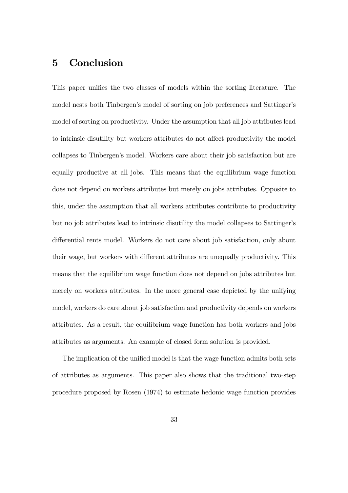# 5 Conclusion

This paper unifies the two classes of models within the sorting literature. The model nests both Tinbergen's model of sorting on job preferences and Sattinger's model of sorting on productivity. Under the assumption that all job attributes lead to intrinsic disutility but workers attributes do not affect productivity the model collapses to Tinbergenís model. Workers care about their job satisfaction but are equally productive at all jobs. This means that the equilibrium wage function does not depend on workers attributes but merely on jobs attributes. Opposite to this, under the assumption that all workers attributes contribute to productivity but no job attributes lead to intrinsic disutility the model collapses to Sattinger's differential rents model. Workers do not care about job satisfaction, only about their wage, but workers with different attributes are unequally productivity. This means that the equilibrium wage function does not depend on jobs attributes but merely on workers attributes. In the more general case depicted by the unifying model, workers do care about job satisfaction and productivity depends on workers attributes. As a result, the equilibrium wage function has both workers and jobs attributes as arguments. An example of closed form solution is provided.

The implication of the unified model is that the wage function admits both sets of attributes as arguments. This paper also shows that the traditional two-step procedure proposed by Rosen (1974) to estimate hedonic wage function provides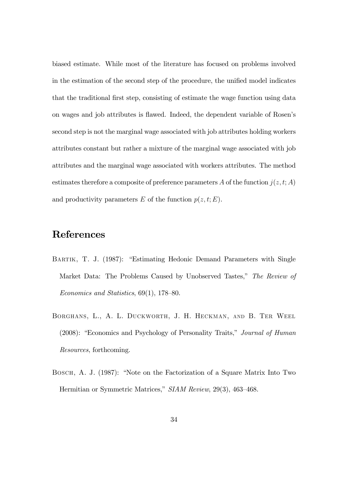biased estimate. While most of the literature has focused on problems involved in the estimation of the second step of the procedure, the unified model indicates that the traditional first step, consisting of estimate the wage function using data on wages and job attributes is flawed. Indeed, the dependent variable of Rosen's second step is not the marginal wage associated with job attributes holding workers attributes constant but rather a mixture of the marginal wage associated with job attributes and the marginal wage associated with workers attributes. The method estimates therefore a composite of preference parameters A of the function  $j(z, t; A)$ and productivity parameters E of the function  $p(z, t; E)$ .

# References

- BARTIK, T. J. (1987): "Estimating Hedonic Demand Parameters with Single Market Data: The Problems Caused by Unobserved Tastes," The Review of Economics and Statistics,  $69(1)$ ,  $178-80$ .
- Borghans, L., A. L. Duckworth, J. H. Heckman, and B. Ter Weel  $(2008)$ : "Economics and Psychology of Personality Traits," Journal of Human Resources, forthcoming.
- BOSCH, A. J. (1987): "Note on the Factorization of a Square Matrix Into Two Hermitian or Symmetric Matrices,"  $SIAM$  Review, 29(3), 463–468.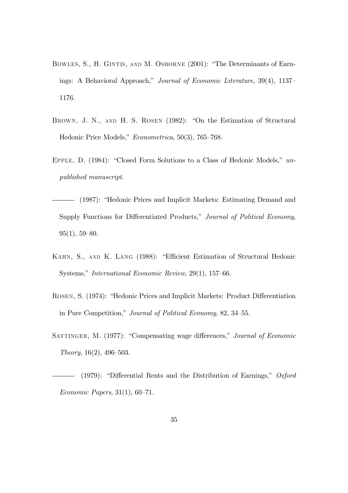- BOWLES, S., H. GINTIS, AND M. OSBORNE (2001): "The Determinants of Earnings: A Behavioral Approach," Journal of Economic Literature,  $39(4)$ ,  $1137-$ 1176.
- BROWN, J. N., AND H. S. ROSEN (1982): "On the Estimation of Structural Hedonic Price Models,"  $Econometrica$ , 50(3), 765–768.
- EPPLE, D.  $(1984)$ : "Closed Form Solutions to a Class of Hedonic Models," unpublished manuscript.
- (1987): "Hedonic Prices and Implicit Markets: Estimating Demand and Supply Functions for Differentiated Products," Journal of Political Economy,  $95(1), 59-80.$
- KAHN, S., AND K. LANG (1988): "Efficient Estimation of Structural Hedonic Systems," International Economic Review, 29(1), 157–66.
- ROSEN, S. (1974): "Hedonic Prices and Implicit Markets: Product Differentiation in Pure Competition," Journal of Political Economy, 82, 34–55.
- SATTINGER, M. (1977): "Compensating wage differences," Journal of Economic Theory,  $16(2)$ ,  $496-503$ .
- (1979): "Differential Rents and the Distribution of Earnings,"  $Oxford$ Economic Papers,  $31(1)$ ,  $60-71$ .